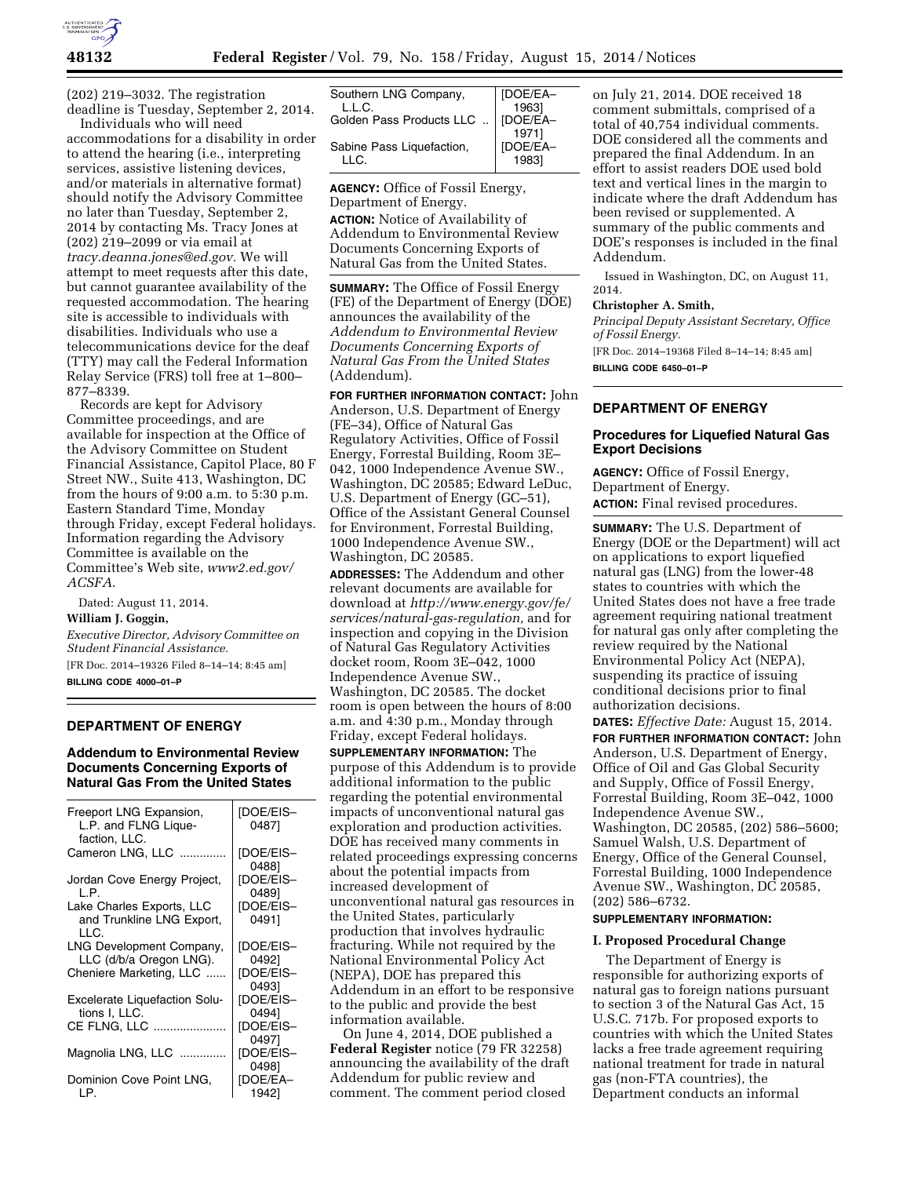

(202) 219–3032. The registration deadline is Tuesday, September 2, 2014.

Individuals who will need accommodations for a disability in order to attend the hearing (i.e., interpreting services, assistive listening devices, and/or materials in alternative format) should notify the Advisory Committee no later than Tuesday, September 2, 2014 by contacting Ms. Tracy Jones at (202) 219–2099 or via email at *[tracy.deanna.jones@ed.gov.](mailto:tracy.deanna.jones@ed.gov)* We will attempt to meet requests after this date, but cannot guarantee availability of the requested accommodation. The hearing site is accessible to individuals with disabilities. Individuals who use a telecommunications device for the deaf (TTY) may call the Federal Information Relay Service (FRS) toll free at 1–800– 877–8339.

Records are kept for Advisory Committee proceedings, and are available for inspection at the Office of the Advisory Committee on Student Financial Assistance, Capitol Place, 80 F Street NW., Suite 413, Washington, DC from the hours of 9:00 a.m. to 5:30 p.m. Eastern Standard Time, Monday through Friday, except Federal holidays. Information regarding the Advisory Committee is available on the Committee's Web site, *[www2.ed.gov/](http://www2.ed.gov/ACSFA) [ACSFA](http://www2.ed.gov/ACSFA)*.

Dated: August 11, 2014.

### **William J. Goggin,**

*Executive Director, Advisory Committee on Student Financial Assistance.* 

[FR Doc. 2014–19326 Filed 8–14–14; 8:45 am] **BILLING CODE 4000–01–P** 

# **DEPARTMENT OF ENERGY**

**Addendum to Environmental Review Documents Concerning Exports of Natural Gas From the United States** 

| Freeport LNG Expansion,<br>L.P. and FLNG Lique-<br>faction, LLC. | <b>IDOE/EIS-</b><br>04871 |
|------------------------------------------------------------------|---------------------------|
| Cameron LNG, LLC                                                 | [DOE/EIS-<br>04881        |
| Jordan Cove Energy Project,<br>L.P.                              | <b>IDOE/EIS-</b><br>04891 |
| Lake Charles Exports, LLC<br>and Trunkline LNG Export,<br>LLC.   | [DOE/EIS-<br>04911        |
| LNG Development Company,<br>LLC (d/b/a Oregon LNG).              | [DOE/EIS-<br>04921        |
| Cheniere Marketing, LLC                                          | [DOE/EIS-<br>04931        |
| <b>Excelerate Liquefaction Solu-</b><br>tions I. LLC.            | [DOE/EIS-<br>04941        |
| CE FLNG, LLC                                                     | <b>IDOE/EIS-</b><br>04971 |
| Magnolia LNG, LLC                                                | [DOE/EIS-<br>04981        |
| Dominion Cove Point LNG,<br>LP.                                  | [DOE/EA-<br>19421         |

| Southern LNG Company,     | [DOE/EA- |
|---------------------------|----------|
| L.L.C.                    | 1963]    |
| Golden Pass Products LLC  | [DOE/EA- |
|                           | 1971]    |
| Sabine Pass Liquefaction, | [DOE/EA- |
| II G.                     | 19831    |
|                           |          |

**AGENCY:** Office of Fossil Energy, Department of Energy.

**ACTION:** Notice of Availability of Addendum to Environmental Review Documents Concerning Exports of Natural Gas from the United States.

**SUMMARY:** The Office of Fossil Energy (FE) of the Department of Energy (DOE) announces the availability of the *Addendum to Environmental Review Documents Concerning Exports of Natural Gas From the United States*  (Addendum).

**FOR FURTHER INFORMATION CONTACT:** John Anderson, U.S. Department of Energy (FE–34), Office of Natural Gas Regulatory Activities, Office of Fossil Energy, Forrestal Building, Room 3E– 042, 1000 Independence Avenue SW., Washington, DC 20585; Edward LeDuc, U.S. Department of Energy (GC–51), Office of the Assistant General Counsel for Environment, Forrestal Building, 1000 Independence Avenue SW., Washington, DC 20585.

**ADDRESSES:** The Addendum and other relevant documents are available for download at *[http://www.energy.gov/fe/](http://www.energy.gov/fe/services/natural-gas-regulation) [services/natural-gas-regulation,](http://www.energy.gov/fe/services/natural-gas-regulation)* and for inspection and copying in the Division of Natural Gas Regulatory Activities docket room, Room 3E–042, 1000 Independence Avenue SW., Washington, DC 20585. The docket room is open between the hours of 8:00 a.m. and 4:30 p.m., Monday through Friday, except Federal holidays.

**SUPPLEMENTARY INFORMATION:** The purpose of this Addendum is to provide additional information to the public regarding the potential environmental impacts of unconventional natural gas exploration and production activities. DOE has received many comments in related proceedings expressing concerns about the potential impacts from increased development of unconventional natural gas resources in the United States, particularly production that involves hydraulic fracturing. While not required by the National Environmental Policy Act (NEPA), DOE has prepared this Addendum in an effort to be responsive to the public and provide the best information available.

On June 4, 2014, DOE published a **Federal Register** notice (79 FR 32258) announcing the availability of the draft Addendum for public review and comment. The comment period closed

on July 21, 2014. DOE received 18 comment submittals, comprised of a total of 40,754 individual comments. DOE considered all the comments and prepared the final Addendum. In an effort to assist readers DOE used bold text and vertical lines in the margin to indicate where the draft Addendum has been revised or supplemented. A summary of the public comments and DOE's responses is included in the final Addendum.

Issued in Washington, DC, on August 11, 2014.

### **Christopher A. Smith,**

*Principal Deputy Assistant Secretary, Office of Fossil Energy.* 

[FR Doc. 2014–19368 Filed 8–14–14; 8:45 am] **BILLING CODE 6450–01–P** 

# **DEPARTMENT OF ENERGY**

### **Procedures for Liquefied Natural Gas Export Decisions**

**AGENCY:** Office of Fossil Energy, Department of Energy. **ACTION:** Final revised procedures.

**SUMMARY:** The U.S. Department of Energy (DOE or the Department) will act on applications to export liquefied natural gas (LNG) from the lower-48 states to countries with which the United States does not have a free trade agreement requiring national treatment for natural gas only after completing the review required by the National Environmental Policy Act (NEPA), suspending its practice of issuing conditional decisions prior to final authorization decisions.

**DATES:** *Effective Date:* August 15, 2014. **FOR FURTHER INFORMATION CONTACT:** John Anderson, U.S. Department of Energy, Office of Oil and Gas Global Security and Supply, Office of Fossil Energy, Forrestal Building, Room 3E–042, 1000 Independence Avenue SW., Washington, DC 20585, (202) 586–5600; Samuel Walsh, U.S. Department of Energy, Office of the General Counsel, Forrestal Building, 1000 Independence Avenue SW., Washington, DC 20585, (202) 586–6732.

# **SUPPLEMENTARY INFORMATION:**

#### **I. Proposed Procedural Change**

The Department of Energy is responsible for authorizing exports of natural gas to foreign nations pursuant to section 3 of the Natural Gas Act, 15 U.S.C. 717b. For proposed exports to countries with which the United States lacks a free trade agreement requiring national treatment for trade in natural gas (non-FTA countries), the Department conducts an informal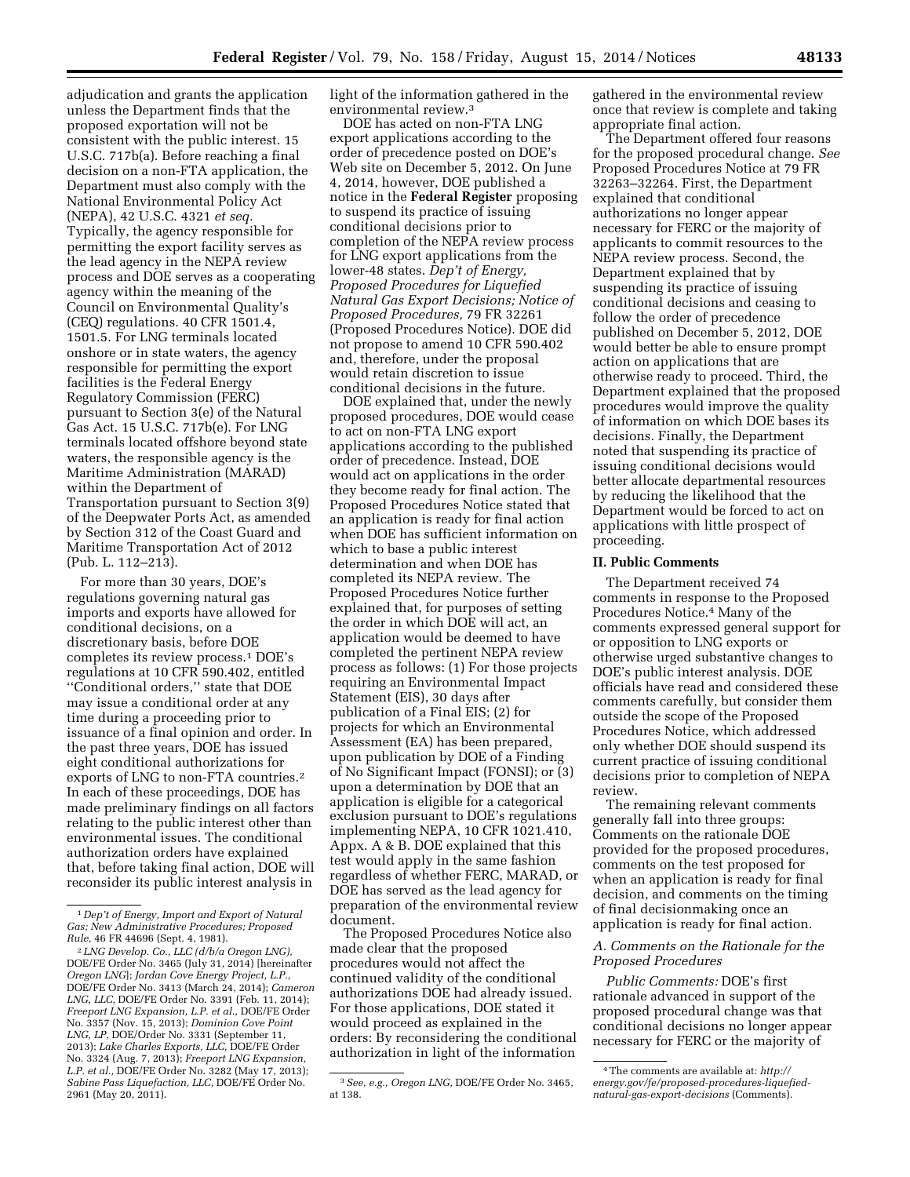adjudication and grants the application unless the Department finds that the proposed exportation will not be consistent with the public interest. 15 U.S.C. 717b(a). Before reaching a final decision on a non-FTA application, the Department must also comply with the National Environmental Policy Act (NEPA), 42 U.S.C. 4321 *et seq.*  Typically, the agency responsible for permitting the export facility serves as the lead agency in the NEPA review process and DOE serves as a cooperating agency within the meaning of the Council on Environmental Quality's (CEQ) regulations. 40 CFR 1501.4, 1501.5. For LNG terminals located onshore or in state waters, the agency responsible for permitting the export facilities is the Federal Energy Regulatory Commission (FERC) pursuant to Section 3(e) of the Natural Gas Act. 15 U.S.C. 717b(e). For LNG terminals located offshore beyond state waters, the responsible agency is the Maritime Administration (MARAD) within the Department of Transportation pursuant to Section 3(9) of the Deepwater Ports Act, as amended by Section 312 of the Coast Guard and Maritime Transportation Act of 2012 (Pub. L. 112–213).

For more than 30 years, DOE's regulations governing natural gas imports and exports have allowed for conditional decisions, on a discretionary basis, before DOE completes its review process.1 DOE's regulations at 10 CFR 590.402, entitled ''Conditional orders,'' state that DOE may issue a conditional order at any time during a proceeding prior to issuance of a final opinion and order. In the past three years, DOE has issued eight conditional authorizations for exports of LNG to non-FTA countries.2 In each of these proceedings, DOE has made preliminary findings on all factors relating to the public interest other than environmental issues. The conditional authorization orders have explained that, before taking final action, DOE will reconsider its public interest analysis in

light of the information gathered in the environmental review.3

DOE has acted on non-FTA LNG export applications according to the order of precedence posted on DOE's Web site on December 5, 2012. On June 4, 2014, however, DOE published a notice in the **Federal Register** proposing to suspend its practice of issuing conditional decisions prior to completion of the NEPA review process for LNG export applications from the lower-48 states. *Dep't of Energy, Proposed Procedures for Liquefied Natural Gas Export Decisions; Notice of Proposed Procedures,* 79 FR 32261 (Proposed Procedures Notice). DOE did not propose to amend 10 CFR 590.402 and, therefore, under the proposal would retain discretion to issue conditional decisions in the future.

DOE explained that, under the newly proposed procedures, DOE would cease to act on non-FTA LNG export applications according to the published order of precedence. Instead, DOE would act on applications in the order they become ready for final action. The Proposed Procedures Notice stated that an application is ready for final action when DOE has sufficient information on which to base a public interest determination and when DOE has completed its NEPA review. The Proposed Procedures Notice further explained that, for purposes of setting the order in which DOE will act, an application would be deemed to have completed the pertinent NEPA review process as follows: (1) For those projects requiring an Environmental Impact Statement (EIS), 30 days after publication of a Final EIS; (2) for projects for which an Environmental Assessment (EA) has been prepared, upon publication by DOE of a Finding of No Significant Impact (FONSI); or (3) upon a determination by DOE that an application is eligible for a categorical exclusion pursuant to DOE's regulations implementing NEPA, 10 CFR 1021.410, Appx. A & B. DOE explained that this test would apply in the same fashion regardless of whether FERC, MARAD, or DOE has served as the lead agency for preparation of the environmental review document.

The Proposed Procedures Notice also made clear that the proposed procedures would not affect the continued validity of the conditional authorizations DOE had already issued. For those applications, DOE stated it would proceed as explained in the orders: By reconsidering the conditional authorization in light of the information

gathered in the environmental review once that review is complete and taking appropriate final action.

The Department offered four reasons for the proposed procedural change. *See*  Proposed Procedures Notice at 79 FR 32263–32264. First, the Department explained that conditional authorizations no longer appear necessary for FERC or the majority of applicants to commit resources to the NEPA review process. Second, the Department explained that by suspending its practice of issuing conditional decisions and ceasing to follow the order of precedence published on December 5, 2012, DOE would better be able to ensure prompt action on applications that are otherwise ready to proceed. Third, the Department explained that the proposed procedures would improve the quality of information on which DOE bases its decisions. Finally, the Department noted that suspending its practice of issuing conditional decisions would better allocate departmental resources by reducing the likelihood that the Department would be forced to act on applications with little prospect of proceeding.

#### **II. Public Comments**

The Department received 74 comments in response to the Proposed Procedures Notice.4 Many of the comments expressed general support for or opposition to LNG exports or otherwise urged substantive changes to DOE's public interest analysis. DOE officials have read and considered these comments carefully, but consider them outside the scope of the Proposed Procedures Notice, which addressed only whether DOE should suspend its current practice of issuing conditional decisions prior to completion of NEPA review.

The remaining relevant comments generally fall into three groups: Comments on the rationale DOE provided for the proposed procedures, comments on the test proposed for when an application is ready for final decision, and comments on the timing of final decisionmaking once an application is ready for final action.

### *A. Comments on the Rationale for the Proposed Procedures*

*Public Comments:* DOE's first rationale advanced in support of the proposed procedural change was that conditional decisions no longer appear necessary for FERC or the majority of

<sup>1</sup> *Dep't of Energy, Import and Export of Natural Gas; New Administrative Procedures; Proposed Rule,* 46 FR 44696 (Sept. 4, 1981).

<sup>2</sup> *LNG Develop. Co., LLC (d/b/a Oregon LNG),*  DOE/FE Order No. 3465 (July 31, 2014) [hereinafter *Oregon LNG*]; *Jordan Cove Energy Project, L.P.,*  DOE/FE Order No. 3413 (March 24, 2014); *Cameron LNG, LLC,* DOE/FE Order No. 3391 (Feb. 11, 2014); *Freeport LNG Expansion, L.P. et al.,* DOE/FE Order No. 3357 (Nov. 15, 2013); *Dominion Cove Point LNG, LP,* DOE/Order No. 3331 (September 11, 2013); *Lake Charles Exports, LLC,* DOE/FE Order No. 3324 (Aug. 7, 2013); *Freeport LNG Expansion, L.P. et al.,* DOE/FE Order No. 3282 (May 17, 2013); *Sabine Pass Liquefaction, LLC,* DOE/FE Order No. 2961 (May 20, 2011).

<sup>3</sup>*See, e.g., Oregon LNG,* DOE/FE Order No. 3465, at 138.

<sup>4</sup>The comments are available at: *[http://](http://energy.gov/fe/proposed-procedures-liquefied-natural-gas-export-decisions) [energy.gov/fe/proposed-procedures-liquefied](http://energy.gov/fe/proposed-procedures-liquefied-natural-gas-export-decisions)[natural-gas-export-decisions](http://energy.gov/fe/proposed-procedures-liquefied-natural-gas-export-decisions)* (Comments).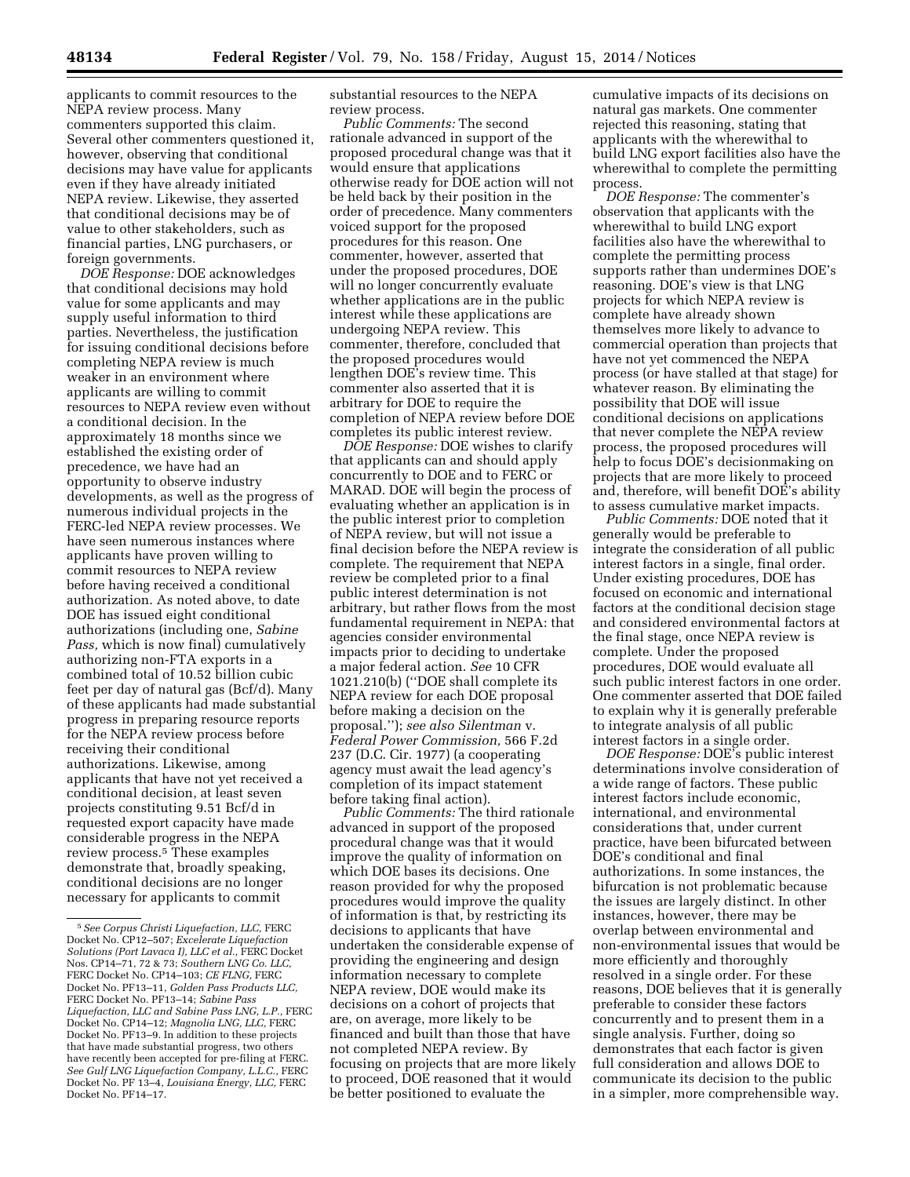applicants to commit resources to the NEPA review process. Many commenters supported this claim. Several other commenters questioned it, however, observing that conditional decisions may have value for applicants even if they have already initiated NEPA review. Likewise, they asserted that conditional decisions may be of value to other stakeholders, such as financial parties, LNG purchasers, or

foreign governments. *DOE Response:* DOE acknowledges that conditional decisions may hold value for some applicants and may supply useful information to third parties. Nevertheless, the justification for issuing conditional decisions before completing NEPA review is much weaker in an environment where applicants are willing to commit resources to NEPA review even without a conditional decision. In the approximately 18 months since we established the existing order of precedence, we have had an opportunity to observe industry developments, as well as the progress of numerous individual projects in the FERC-led NEPA review processes. We have seen numerous instances where applicants have proven willing to commit resources to NEPA review before having received a conditional authorization. As noted above, to date DOE has issued eight conditional authorizations (including one, *Sabine Pass,* which is now final) cumulatively authorizing non-FTA exports in a combined total of 10.52 billion cubic feet per day of natural gas (Bcf/d). Many of these applicants had made substantial progress in preparing resource reports for the NEPA review process before receiving their conditional authorizations. Likewise, among applicants that have not yet received a conditional decision, at least seven projects constituting 9.51 Bcf/d in requested export capacity have made considerable progress in the NEPA review process.5 These examples demonstrate that, broadly speaking, conditional decisions are no longer necessary for applicants to commit

substantial resources to the NEPA review process.

*Public Comments:* The second rationale advanced in support of the proposed procedural change was that it would ensure that applications otherwise ready for DOE action will not be held back by their position in the order of precedence. Many commenters voiced support for the proposed procedures for this reason. One commenter, however, asserted that under the proposed procedures, DOE will no longer concurrently evaluate whether applications are in the public interest while these applications are undergoing NEPA review. This commenter, therefore, concluded that the proposed procedures would lengthen DOE's review time. This commenter also asserted that it is arbitrary for DOE to require the completion of NEPA review before DOE completes its public interest review.

*DOE Response:* DOE wishes to clarify that applicants can and should apply concurrently to DOE and to FERC or MARAD. DOE will begin the process of evaluating whether an application is in the public interest prior to completion of NEPA review, but will not issue a final decision before the NEPA review is complete. The requirement that NEPA review be completed prior to a final public interest determination is not arbitrary, but rather flows from the most fundamental requirement in NEPA: that agencies consider environmental impacts prior to deciding to undertake a major federal action. *See* 10 CFR 1021.210(b) (''DOE shall complete its NEPA review for each DOE proposal before making a decision on the proposal.''); *see also Silentman* v. *Federal Power Commission,* 566 F.2d 237 (D.C. Cir. 1977) (a cooperating agency must await the lead agency's completion of its impact statement before taking final action).

*Public Comments:* The third rationale advanced in support of the proposed procedural change was that it would improve the quality of information on which DOE bases its decisions. One reason provided for why the proposed procedures would improve the quality of information is that, by restricting its decisions to applicants that have undertaken the considerable expense of providing the engineering and design information necessary to complete NEPA review, DOE would make its decisions on a cohort of projects that are, on average, more likely to be financed and built than those that have not completed NEPA review. By focusing on projects that are more likely to proceed, DOE reasoned that it would be better positioned to evaluate the

cumulative impacts of its decisions on natural gas markets. One commenter rejected this reasoning, stating that applicants with the wherewithal to build LNG export facilities also have the wherewithal to complete the permitting process.

*DOE Response:* The commenter's observation that applicants with the wherewithal to build LNG export facilities also have the wherewithal to complete the permitting process supports rather than undermines DOE's reasoning. DOE's view is that LNG projects for which NEPA review is complete have already shown themselves more likely to advance to commercial operation than projects that have not yet commenced the NEPA process (or have stalled at that stage) for whatever reason. By eliminating the possibility that DOE will issue conditional decisions on applications that never complete the NEPA review process, the proposed procedures will help to focus DOE's decisionmaking on projects that are more likely to proceed and, therefore, will benefit DOE's ability to assess cumulative market impacts.

*Public Comments:* DOE noted that it generally would be preferable to integrate the consideration of all public interest factors in a single, final order. Under existing procedures, DOE has focused on economic and international factors at the conditional decision stage and considered environmental factors at the final stage, once NEPA review is complete. Under the proposed procedures, DOE would evaluate all such public interest factors in one order. One commenter asserted that DOE failed to explain why it is generally preferable to integrate analysis of all public interest factors in a single order.

*DOE Response:* DOE's public interest determinations involve consideration of a wide range of factors. These public interest factors include economic, international, and environmental considerations that, under current practice, have been bifurcated between DOE's conditional and final authorizations. In some instances, the bifurcation is not problematic because the issues are largely distinct. In other instances, however, there may be overlap between environmental and non-environmental issues that would be more efficiently and thoroughly resolved in a single order. For these reasons, DOE believes that it is generally preferable to consider these factors concurrently and to present them in a single analysis. Further, doing so demonstrates that each factor is given full consideration and allows DOE to communicate its decision to the public in a simpler, more comprehensible way.

<sup>5</sup>*See Corpus Christi Liquefaction, LLC,* FERC Docket No. CP12–507; *Excelerate Liquefaction Solutions (Port Lavaca I), LLC et al.,* FERC Docket Nos. CP14–71, 72 & 73; *Southern LNG Co. LLC,*  FERC Docket No. CP14–103; *CE FLNG,* FERC Docket No. PF13–11, *Golden Pass Products LLC,*  FERC Docket No. PF13–14; *Sabine Pass Liquefaction, LLC and Sabine Pass LNG, L.P.,* FERC Docket No. CP14–12; *Magnolia LNG, LLC,* FERC Docket No. PF13–9. In addition to these projects that have made substantial progress, two others have recently been accepted for pre-filing at FERC. *See Gulf LNG Liquefaction Company, L.L.C.,* FERC Docket No. PF 13–4, *Louisiana Energy, LLC,* FERC Docket No. PF14–17.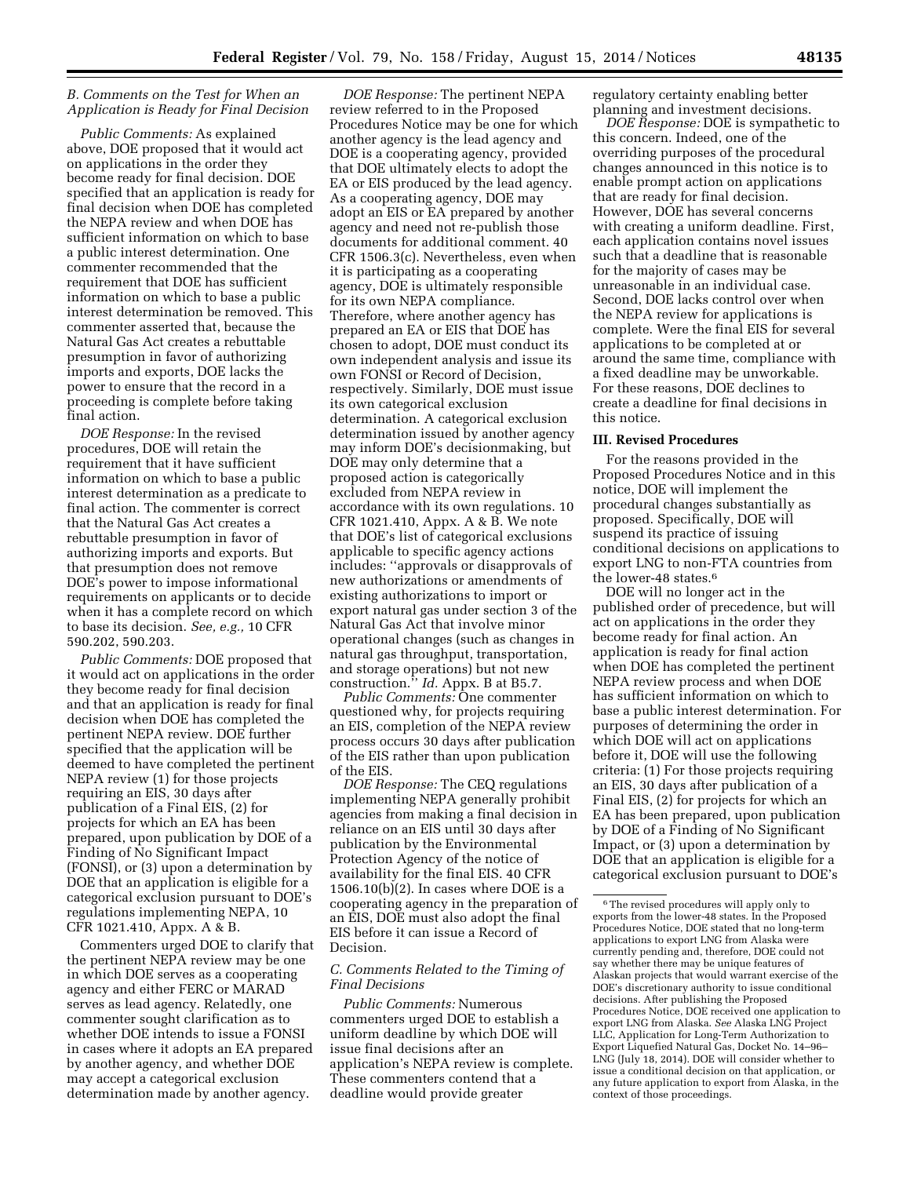### *B. Comments on the Test for When an Application is Ready for Final Decision*

*Public Comments:* As explained above, DOE proposed that it would act on applications in the order they become ready for final decision. DOE specified that an application is ready for final decision when DOE has completed the NEPA review and when DOE has sufficient information on which to base a public interest determination. One commenter recommended that the requirement that DOE has sufficient information on which to base a public interest determination be removed. This commenter asserted that, because the Natural Gas Act creates a rebuttable presumption in favor of authorizing imports and exports, DOE lacks the power to ensure that the record in a proceeding is complete before taking final action.

*DOE Response:* In the revised procedures, DOE will retain the requirement that it have sufficient information on which to base a public interest determination as a predicate to final action. The commenter is correct that the Natural Gas Act creates a rebuttable presumption in favor of authorizing imports and exports. But that presumption does not remove DOE's power to impose informational requirements on applicants or to decide when it has a complete record on which to base its decision. *See, e.g.,* 10 CFR 590.202, 590.203.

*Public Comments:* DOE proposed that it would act on applications in the order they become ready for final decision and that an application is ready for final decision when DOE has completed the pertinent NEPA review. DOE further specified that the application will be deemed to have completed the pertinent NEPA review (1) for those projects requiring an EIS, 30 days after publication of a Final EIS, (2) for projects for which an EA has been prepared, upon publication by DOE of a Finding of No Significant Impact (FONSI), or (3) upon a determination by DOE that an application is eligible for a categorical exclusion pursuant to DOE's regulations implementing NEPA, 10 CFR 1021.410, Appx. A & B.

Commenters urged DOE to clarify that the pertinent NEPA review may be one in which DOE serves as a cooperating agency and either FERC or MARAD serves as lead agency. Relatedly, one commenter sought clarification as to whether DOE intends to issue a FONSI in cases where it adopts an EA prepared by another agency, and whether DOE may accept a categorical exclusion determination made by another agency.

*DOE Response:* The pertinent NEPA review referred to in the Proposed Procedures Notice may be one for which another agency is the lead agency and DOE is a cooperating agency, provided that DOE ultimately elects to adopt the EA or EIS produced by the lead agency. As a cooperating agency, DOE may adopt an EIS or EA prepared by another agency and need not re-publish those documents for additional comment. 40 CFR 1506.3(c). Nevertheless, even when it is participating as a cooperating agency, DOE is ultimately responsible for its own NEPA compliance. Therefore, where another agency has prepared an EA or EIS that DOE has chosen to adopt, DOE must conduct its own independent analysis and issue its own FONSI or Record of Decision, respectively. Similarly, DOE must issue its own categorical exclusion determination. A categorical exclusion determination issued by another agency may inform DOE's decisionmaking, but DOE may only determine that a proposed action is categorically excluded from NEPA review in accordance with its own regulations. 10 CFR 1021.410, Appx. A & B. We note that DOE's list of categorical exclusions applicable to specific agency actions includes: ''approvals or disapprovals of new authorizations or amendments of existing authorizations to import or export natural gas under section 3 of the Natural Gas Act that involve minor operational changes (such as changes in natural gas throughput, transportation, and storage operations) but not new construction.'' *Id.* Appx. B at B5.7.

*Public Comments:* One commenter questioned why, for projects requiring an EIS, completion of the NEPA review process occurs 30 days after publication of the EIS rather than upon publication of the EIS.

*DOE Response:* The CEQ regulations implementing NEPA generally prohibit agencies from making a final decision in reliance on an EIS until 30 days after publication by the Environmental Protection Agency of the notice of availability for the final EIS. 40 CFR 1506.10(b)(2). In cases where DOE is a cooperating agency in the preparation of an EIS, DOE must also adopt the final EIS before it can issue a Record of Decision.

# *C. Comments Related to the Timing of Final Decisions*

*Public Comments:* Numerous commenters urged DOE to establish a uniform deadline by which DOE will issue final decisions after an application's NEPA review is complete. These commenters contend that a deadline would provide greater

regulatory certainty enabling better planning and investment decisions.

*DOE Response:* DOE is sympathetic to this concern. Indeed, one of the overriding purposes of the procedural changes announced in this notice is to enable prompt action on applications that are ready for final decision. However, DOE has several concerns with creating a uniform deadline. First, each application contains novel issues such that a deadline that is reasonable for the majority of cases may be unreasonable in an individual case. Second, DOE lacks control over when the NEPA review for applications is complete. Were the final EIS for several applications to be completed at or around the same time, compliance with a fixed deadline may be unworkable. For these reasons, DOE declines to create a deadline for final decisions in this notice.

#### **III. Revised Procedures**

For the reasons provided in the Proposed Procedures Notice and in this notice, DOE will implement the procedural changes substantially as proposed. Specifically, DOE will suspend its practice of issuing conditional decisions on applications to export LNG to non-FTA countries from the lower-48 states.<sup>6</sup>

DOE will no longer act in the published order of precedence, but will act on applications in the order they become ready for final action. An application is ready for final action when DOE has completed the pertinent NEPA review process and when DOE has sufficient information on which to base a public interest determination. For purposes of determining the order in which DOE will act on applications before it, DOE will use the following criteria: (1) For those projects requiring an EIS, 30 days after publication of a Final EIS, (2) for projects for which an EA has been prepared, upon publication by DOE of a Finding of No Significant Impact, or (3) upon a determination by DOE that an application is eligible for a categorical exclusion pursuant to DOE's

 $^{\rm 6}$  The revised procedures will apply only to exports from the lower-48 states. In the Proposed Procedures Notice, DOE stated that no long-term applications to export LNG from Alaska were currently pending and, therefore, DOE could not say whether there may be unique features of Alaskan projects that would warrant exercise of the DOE's discretionary authority to issue conditional decisions. After publishing the Proposed Procedures Notice, DOE received one application to export LNG from Alaska. *See* Alaska LNG Project LLC, Application for Long-Term Authorization to Export Liquefied Natural Gas, Docket No. 14–96– LNG (July 18, 2014). DOE will consider whether to issue a conditional decision on that application, or any future application to export from Alaska, in the context of those proceedings.